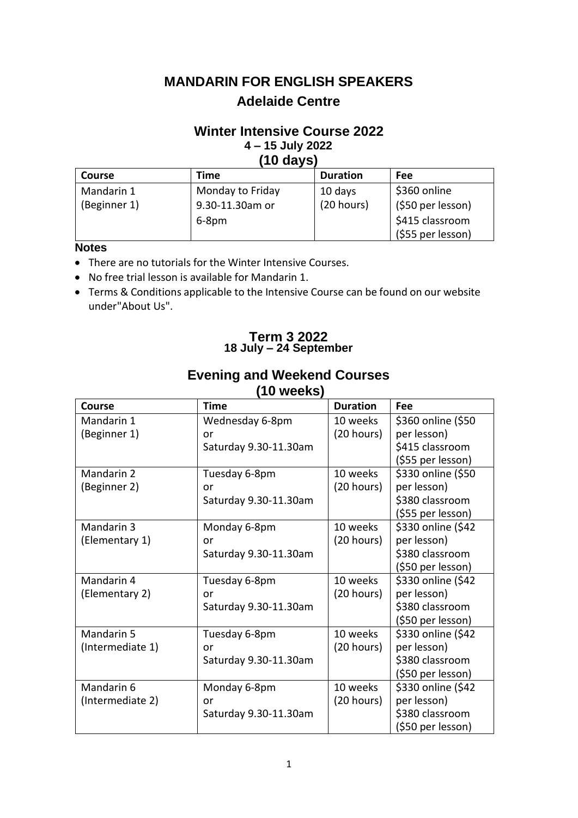# **MANDARIN FOR ENGLISH SPEAKERS Adelaide Centre**

## **Winter Intensive Course 2022 4 – 15 July 2022 (10 days)**

| 1 V WATV      |                  |                 |                   |  |  |
|---------------|------------------|-----------------|-------------------|--|--|
| <b>Course</b> | Time             | <b>Duration</b> | Fee               |  |  |
| Mandarin 1    | Monday to Friday | 10 days         | \$360 online      |  |  |
| (Beginner 1)  | 9.30-11.30am or  | (20 hours)      | (\$50 per lesson) |  |  |
|               | $6-8pm$          |                 | \$415 classroom   |  |  |
|               |                  |                 | (\$55 per lesson) |  |  |

# **Notes**

- There are no tutorials for the Winter Intensive Courses.
- No free trial lesson is available for Mandarin 1.
- Terms & Conditions applicable to the Intensive Course can be found on our website under"About Us".

## **Term 3 2022 18 July – 24 September**

| TU WEEKS)        |                       |                 |                    |  |  |
|------------------|-----------------------|-----------------|--------------------|--|--|
| <b>Course</b>    | Time                  | <b>Duration</b> | Fee                |  |  |
| Mandarin 1       | Wednesday 6-8pm       | 10 weeks        | \$360 online (\$50 |  |  |
| (Beginner 1)     | or                    | (20 hours)      | per lesson)        |  |  |
|                  | Saturday 9.30-11.30am |                 | \$415 classroom    |  |  |
|                  |                       |                 | (\$55 per lesson)  |  |  |
| Mandarin 2       | Tuesday 6-8pm         | 10 weeks        | \$330 online (\$50 |  |  |
| (Beginner 2)     | or                    | (20 hours)      | per lesson)        |  |  |
|                  | Saturday 9.30-11.30am |                 | \$380 classroom    |  |  |
|                  |                       |                 | (\$55 per lesson)  |  |  |
| Mandarin 3       | Monday 6-8pm          | 10 weeks        | \$330 online (\$42 |  |  |
| (Elementary 1)   | or                    | (20 hours)      | per lesson)        |  |  |
|                  | Saturday 9.30-11.30am |                 | \$380 classroom    |  |  |
|                  |                       |                 | (\$50 per lesson)  |  |  |
| Mandarin 4       | Tuesday 6-8pm         | 10 weeks        | \$330 online (\$42 |  |  |
| (Elementary 2)   | or                    | (20 hours)      | per lesson)        |  |  |
|                  | Saturday 9.30-11.30am |                 | \$380 classroom    |  |  |
|                  |                       |                 | (\$50 per lesson)  |  |  |
| Mandarin 5       | Tuesday 6-8pm         | 10 weeks        | \$330 online (\$42 |  |  |
| (Intermediate 1) | or                    | (20 hours)      | per lesson)        |  |  |
|                  | Saturday 9.30-11.30am |                 | \$380 classroom    |  |  |
|                  |                       |                 | (\$50 per lesson)  |  |  |
| Mandarin 6       | Monday 6-8pm          | 10 weeks        | \$330 online (\$42 |  |  |
| (Intermediate 2) | or                    | (20 hours)      | per lesson)        |  |  |
|                  | Saturday 9.30-11.30am |                 | \$380 classroom    |  |  |
|                  |                       |                 | (\$50 per lesson)  |  |  |

# **Evening and Weekend Courses**

**(10 weeks)**